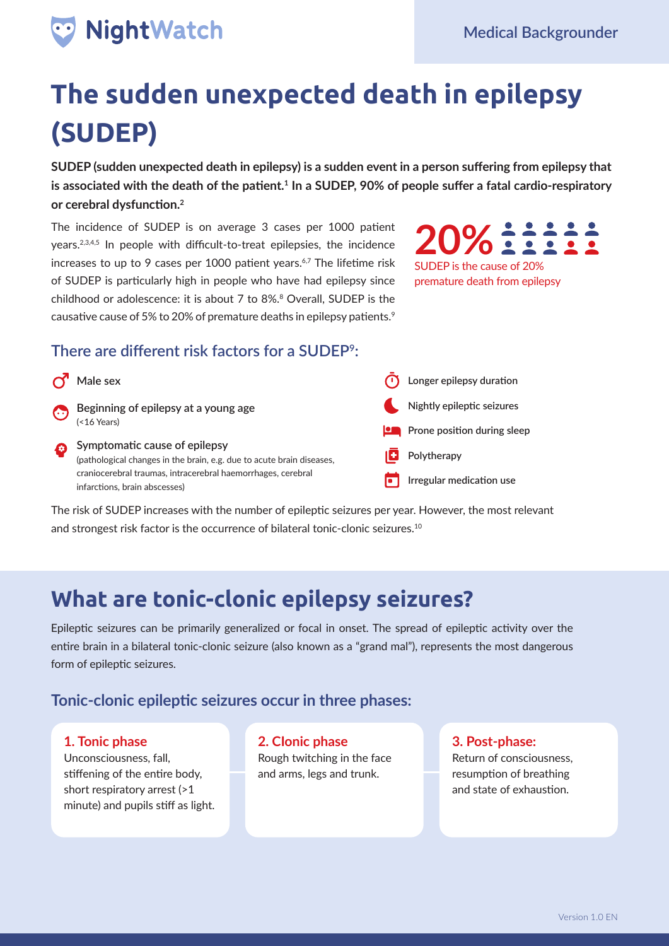# NightWatch

# **The sudden unexpected death in epilepsy (SUDEP)**

**SUDEP (sudden unexpected death in epilepsy) is a sudden event in a person suffering from epilepsy that is associated with the death of the patient.<sup>1</sup> In a SUDEP, 90% of people suffer a fatal cardio-respiratory or cerebral dysfunction.<sup>2</sup>**

The incidence of SUDEP is on average 3 cases per 1000 patient years.2,3,4,5 In people with difficult-to-treat epilepsies, the incidence increases to up to 9 cases per 1000 patient years.<sup>6,7</sup> The lifetime risk of SUDEP is particularly high in people who have had epilepsy since childhood or adolescence: it is about 7 to 8%.8 Overall, SUDEP is the causative cause of 5% to 20% of premature deaths in epilepsy patients.<sup>9</sup>

**20%** 11111 SUDEP is the cause of 20%

premature death from epilepsy

#### **There are different risk factors for a SUDEP9:**

| <u>്</u> | Male sex                                                                                               | Longer epilepsy duration    |
|----------|--------------------------------------------------------------------------------------------------------|-----------------------------|
| $\odot$  | Beginning of epilepsy at a young age $($ <16 Years)                                                    | Nightly epileptic seizures  |
|          |                                                                                                        | Prone position during sleep |
|          | Symptomatic cause of epilepsy<br>(pathological changes in the brain, e.g. due to acute brain diseases, | Polytherapy                 |
|          | craniocerebral traumas, intracerebral haemorrhages, cerebral<br>infarctions, brain abscesses)          | Irregular medication use    |

The risk of SUDEP increases with the number of epileptic seizures per year. However, the most relevant and strongest risk factor is the occurrence of bilateral tonic-clonic seizures.<sup>10</sup>

# **What are tonic-clonic epilepsy seizures?**

Epileptic seizures can be primarily generalized or focal in onset. The spread of epileptic activity over the entire brain in a bilateral tonic-clonic seizure (also known as a "grand mal"), represents the most dangerous form of epileptic seizures.

#### **Tonic-clonic epileptic seizures occur in three phases:**

#### **1. Tonic phase**

Unconsciousness, fall, stiffening of the entire body, short respiratory arrest (>1 minute) and pupils stiff as light. **2. CIonic phase** Rough twitching in the face and arms, legs and trunk.

**3. Post-phase:**  Return of consciousness, resumption of breathing and state of exhaustion.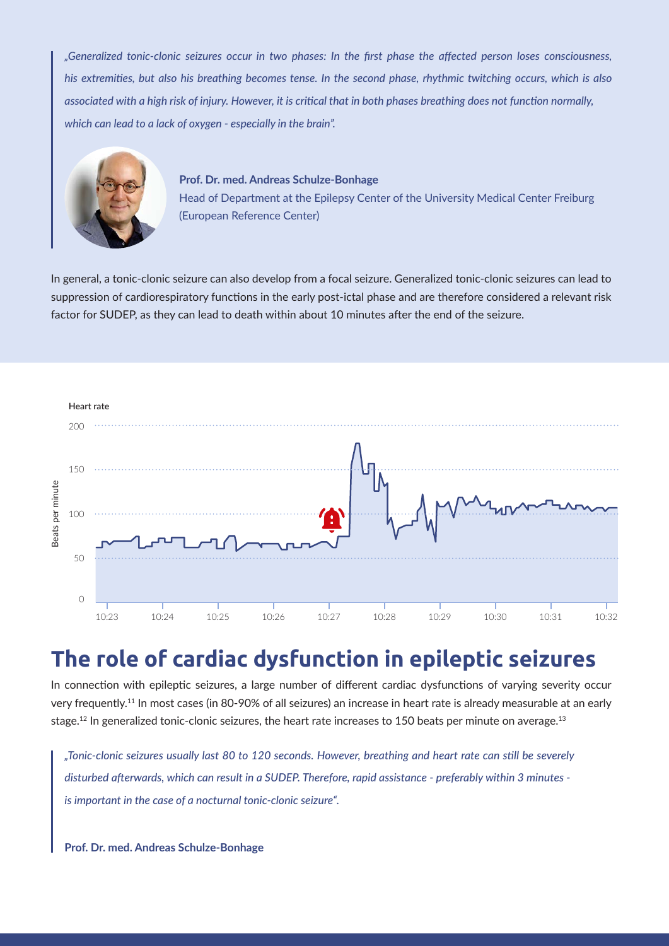*"Generalized tonic-clonic seizures occur in two phases: In the first phase the affected person loses consciousness, his extremities, but also his breathing becomes tense. In the second phase, rhythmic twitching occurs, which is also associated with a high risk of injury. However, it is critical that in both phases breathing does not function normally, which can lead to a lack of oxygen - especially in the brain".* 



**Prof. Dr. med. Andreas Schulze-Bonhage**  Head of Department at the Epilepsy Center of the University Medical Center Freiburg (European Reference Center)

In general, a tonic-clonic seizure can also develop from a focal seizure. Generalized tonic-clonic seizures can lead to suppression of cardiorespiratory functions in the early post-ictal phase and are therefore considered a relevant risk factor for SUDEP, as they can lead to death within about 10 minutes after the end of the seizure.



## **The role of cardiac dysfunction in epileptic seizures**

In connection with epileptic seizures, a large number of different cardiac dysfunctions of varying severity occur very frequently.11 In most cases (in 80-90% of all seizures) an increase in heart rate is already measurable at an early stage.<sup>12</sup> In generalized tonic-clonic seizures, the heart rate increases to 150 beats per minute on average.<sup>13</sup>

*"Tonic-clonic seizures usually last 80 to 120 seconds. However, breathing and heart rate can still be severely disturbed afterwards, which can result in a SUDEP. Therefore, rapid assistance - preferably within 3 minutes is important in the case of a nocturnal tonic-clonic seizure".*

**Prof. Dr. med. Andreas Schulze-Bonhage**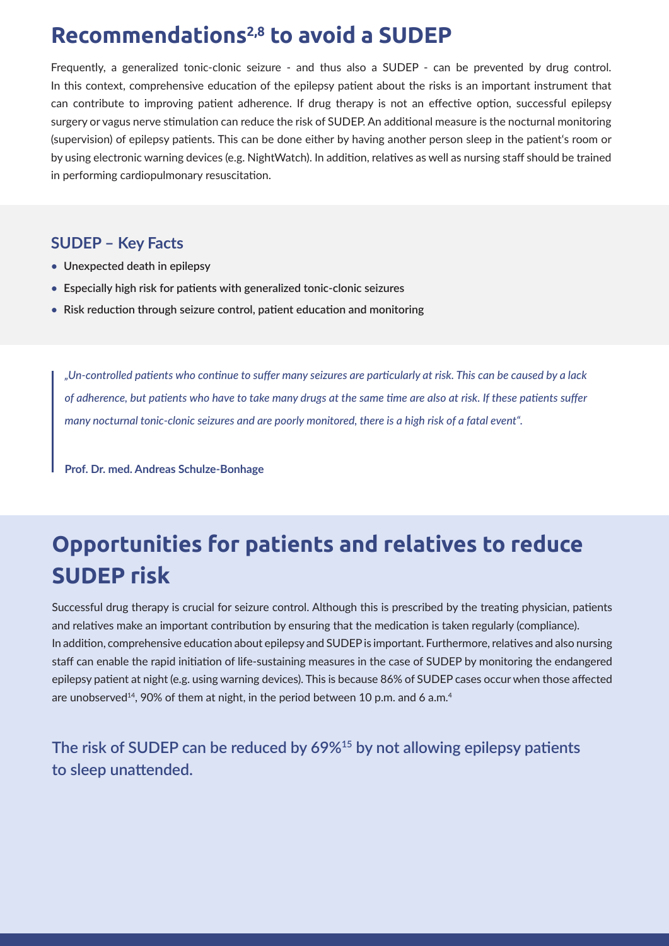## **Recommendations2,8 to avoid a SUDEP**

Frequently, a generalized tonic-clonic seizure - and thus also a SUDEP - can be prevented by drug control. In this context, comprehensive education of the epilepsy patient about the risks is an important instrument that can contribute to improving patient adherence. If drug therapy is not an effective option, successful epilepsy surgery or vagus nerve stimulation can reduce the risk of SUDEP. An additional measure is the nocturnal monitoring (supervision) of epilepsy patients. This can be done either by having another person sleep in the patient's room or by using electronic warning devices (e.g. NightWatch). In addition, relatives as well as nursing staff should be trained in performing cardiopulmonary resuscitation.

#### **SUDEP – Key Facts**

- **Unexpected death in epilepsy •**
- **Especially high risk for patients with generalized tonic-clonic seizures •**
- **Risk reduction through seizure control, patient education and monitoring •**

*"Un-controlled patients who continue to suffer many seizures are particularly at risk. This can be caused by a lack of adherence, but patients who have to take many drugs at the same time are also at risk. If these patients suffer many nocturnal tonic-clonic seizures and are poorly monitored, there is a high risk of a fatal event".* 

**Prof. Dr. med. Andreas Schulze-Bonhage**

# **Opportunities for patients and relatives to reduce SUDEP risk**

Successful drug therapy is crucial for seizure control. Although this is prescribed by the treating physician, patients and relatives make an important contribution by ensuring that the medication is taken regularly (compliance). In addition, comprehensive education about epilepsy and SUDEP is important. Furthermore, relatives and also nursing staff can enable the rapid initiation of life-sustaining measures in the case of SUDEP by monitoring the endangered epilepsy patient at night (e.g. using warning devices). This is because 86% of SUDEP cases occur when those affected are unobserved<sup>14</sup>, 90% of them at night, in the period between 10 p.m. and 6 a.m.<sup>4</sup>

**The risk of SUDEP can be reduced by 69%<sup>15</sup> by not allowing epilepsy patients to sleep unattended.**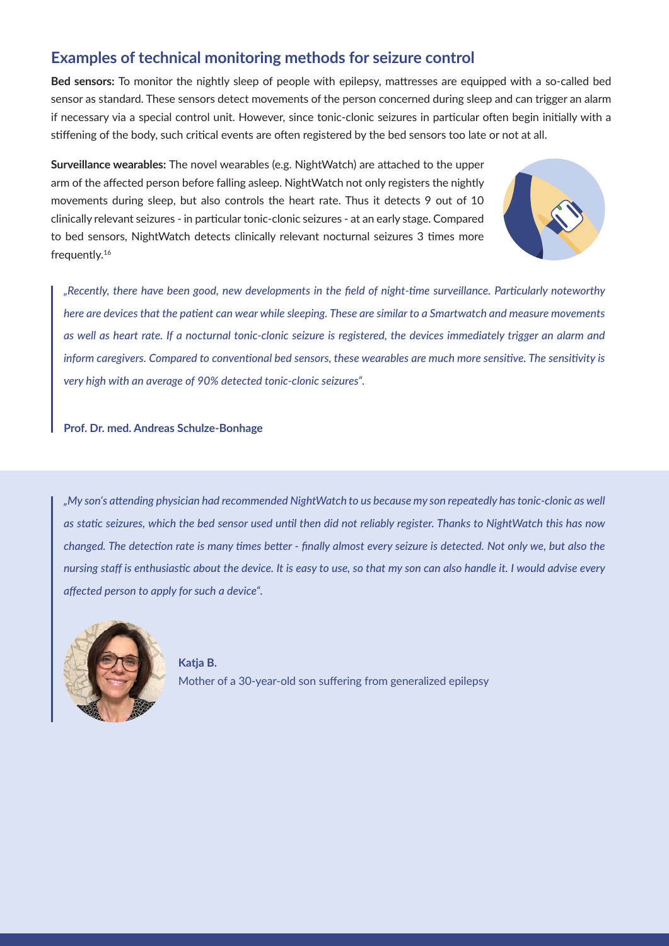#### **Examples of technical monitoring methods for seizure control**

**Bed sensors:** To monitor the nightly sleep of people with epilepsy, mattresses are equipped with a so-called bed sensor as standard. These sensors detect movements of the person concerned during sleep and can trigger an alarm if necessary via a special control unit. However, since tonic-clonic seizures in particular often begin initially with a stiffening of the body, such critical events are often registered by the bed sensors too late or not at all.

**Surveillance wearables:** The novel wearables (e.g. NightWatch) are attached to the upper arm of the affected person before falling asleep. NightWatch not only registers the nightly movements during sleep, but also controls the heart rate. Thus it detects 9 out of 10 clinically relevant seizures - in particular tonic-clonic seizures - at an early stage. Compared to bed sensors, NightWatch detects clinically relevant nocturnal seizures 3 times more frequently.<sup>16</sup>



*"Recently, there have been good, new developments in the field of night-time surveillance. Particularly noteworthy here are devices that the patient can wear while sleeping. These are similar to a Smartwatch and measure movements as well as heart rate. If a nocturnal tonic-clonic seizure is registered, the devices immediately trigger an alarm and inform caregivers. Compared to conventional bed sensors, these wearables are much more sensitive. The sensitivity is very high with an average of 90% detected tonic-clonic seizures".* 

**Prof. Dr. med. Andreas Schulze-Bonhage**

*"My son's attending physician had recommended NightWatch to us because my son repeatedly has tonic-clonic as well as static seizures, which the bed sensor used until then did not reliably register. Thanks to NightWatch this has now changed. The detection rate is many times better - finally almost every seizure is detected. Not only we, but also the nursing staff is enthusiastic about the device. It is easy to use, so that my son can also handle it. I would advise every affected person to apply for such a device".*



**Katja B.** Mother of a 30-year-old son suffering from generalized epilepsy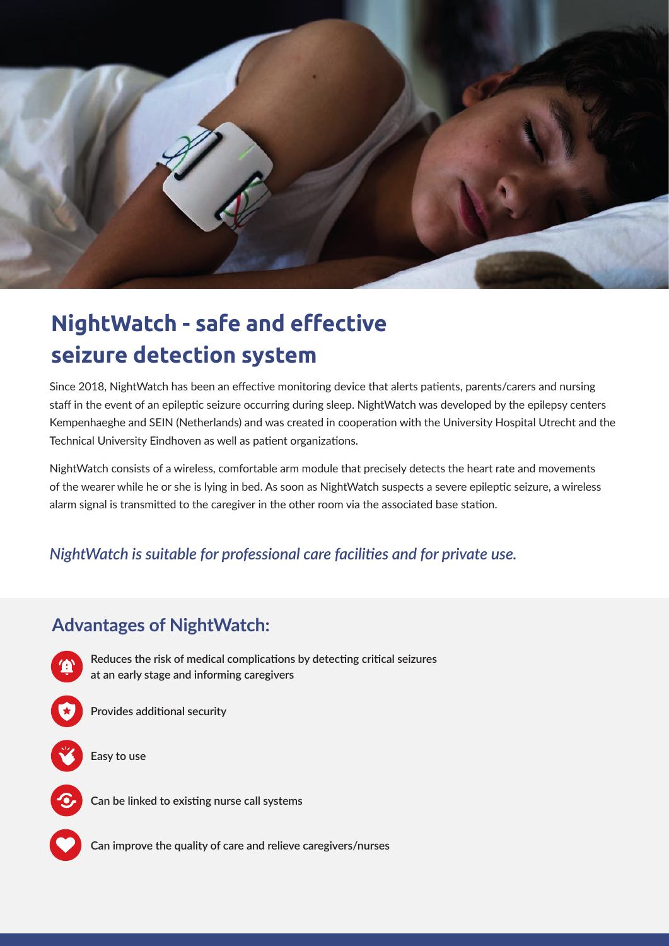

# **NightWatch - safe and effective seizure detection system**

Since 2018, NightWatch has been an effective monitoring device that alerts patients, parents/carers and nursing staff in the event of an epileptic seizure occurring during sleep. NightWatch was developed by the epilepsy centers Kempenhaeghe and SEIN (Netherlands) and was created in cooperation with the University Hospital Utrecht and the Technical University Eindhoven as well as patient organizations.

NightWatch consists of a wireless, comfortable arm module that precisely detects the heart rate and movements of the wearer while he or she is lying in bed. As soon as NightWatch suspects a severe epileptic seizure, a wireless alarm signal is transmitted to the caregiver in the other room via the associated base station.

#### *NightWatch is suitable for professional care facilities and for private use.*

### **Advantages of NightWatch:**



**Can improve the quality of care and relieve caregivers/nurses**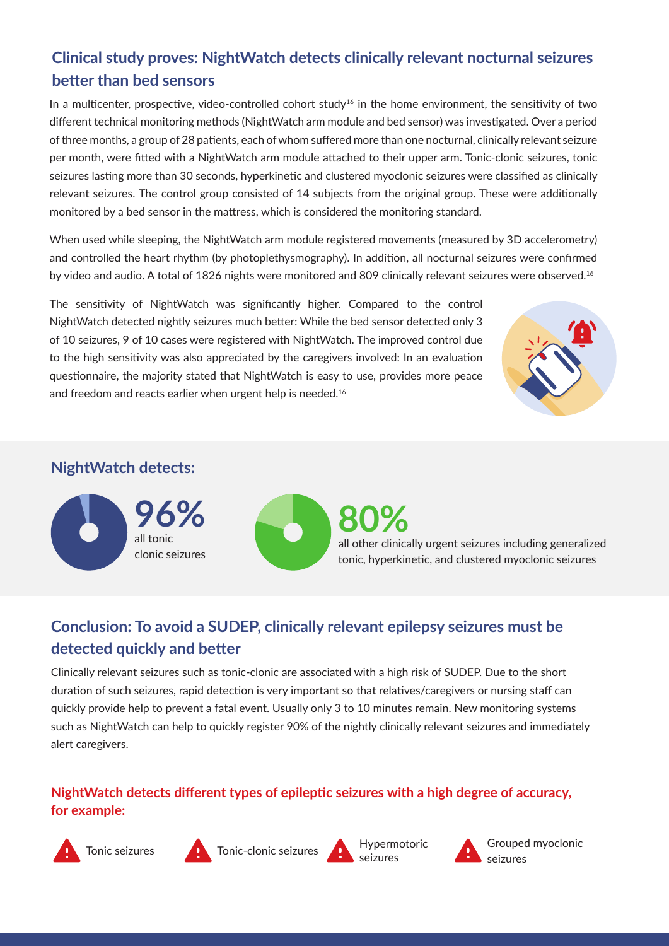#### **Clinical study proves: NightWatch detects clinically relevant nocturnal seizures better than bed sensors**

In a multicenter, prospective, video-controlled cohort study<sup>16</sup> in the home environment, the sensitivity of two different technical monitoring methods (NightWatch arm module and bed sensor) was investigated. Over a period of three months, a group of 28 patients, each of whom suffered more than one nocturnal, clinically relevant seizure per month, were fitted with a NightWatch arm module attached to their upper arm. Tonic-clonic seizures, tonic seizures lasting more than 30 seconds, hyperkinetic and clustered myoclonic seizures were classified as clinically relevant seizures. The control group consisted of 14 subjects from the original group. These were additionally monitored by a bed sensor in the mattress, which is considered the monitoring standard.

When used while sleeping, the NightWatch arm module registered movements (measured by 3D accelerometry) and controlled the heart rhythm (by photoplethysmography). In addition, all nocturnal seizures were confirmed by video and audio. A total of 1826 nights were monitored and 809 clinically relevant seizures were observed.<sup>16</sup>

The sensitivity of NightWatch was significantly higher. Compared to the control NightWatch detected nightly seizures much better: While the bed sensor detected only 3 of 10 seizures, 9 of 10 cases were registered with NightWatch. The improved control due to the high sensitivity was also appreciated by the caregivers involved: In an evaluation questionnaire, the majority stated that NightWatch is easy to use, provides more peace and freedom and reacts earlier when urgent help is needed.<sup>16</sup>



#### **NightWatch detects:**



### **Conclusion: To avoid a SUDEP, clinically relevant epilepsy seizures must be detected quickly and better**

Clinically relevant seizures such as tonic-clonic are associated with a high risk of SUDEP. Due to the short duration of such seizures, rapid detection is very important so that relatives/caregivers or nursing staff can quickly provide help to prevent a fatal event. Usually only 3 to 10 minutes remain. New monitoring systems such as NightWatch can help to quickly register 90% of the nightly clinically relevant seizures and immediately alert caregivers.

#### **NightWatch detects different types of epileptic seizures with a high degree of accuracy, for example:**





Tonic seizures **Aufliche Conic-clonic seizures** Hypermotoric



Grouped myoclonic seizures